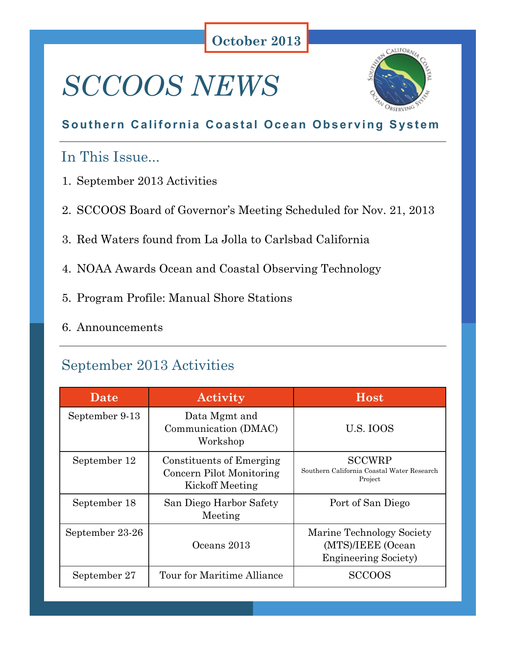### **October 2013**

# *SCCOOS NEWS*



#### **Southern California Coastal Ocean Observing System**

### In This Issue...

- 1. September 2013 Activities
- 2. SCCOOS Board of Governor's Meeting Scheduled for Nov. 21, 2013
- 3. Red Waters found from La Jolla to Carlsbad California
- 4. NOAA Awards Ocean and Coastal Observing Technology
- 5. Program Profile: Manual Shore Stations
- 6. Announcements

### September 2013 Activities

| <b>Date</b>     | Activity                                                                | <b>Host</b>                                                                    |
|-----------------|-------------------------------------------------------------------------|--------------------------------------------------------------------------------|
| September 9-13  | Data Mgmt and<br>Communication (DMAC)<br>Workshop                       | <b>U.S. IOOS</b>                                                               |
| September 12    | Constituents of Emerging<br>Concern Pilot Monitoring<br>Kickoff Meeting | <b>SCCWRP</b><br>Southern California Coastal Water Research<br>Project         |
| September 18    | San Diego Harbor Safety<br>Meeting                                      | Port of San Diego                                                              |
| September 23-26 | Oceans 2013                                                             | Marine Technology Society<br>(MTS)/IEEE (Ocean<br><b>Engineering Society</b> ) |
| September 27    | Tour for Maritime Alliance                                              | SCCOOS                                                                         |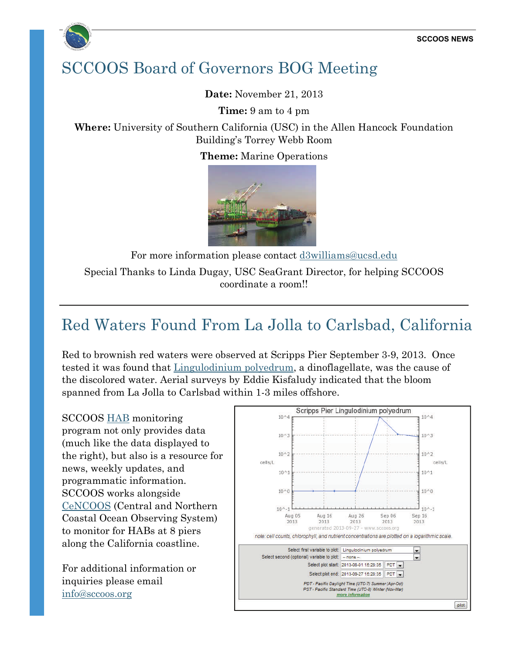

### SCCOOS Board of Governors BOG Meeting

**Date:** November 21, 2013

**Time:** 9 am to 4 pm

**Where:** University of Southern California (USC) in the Allen Hancock Foundation Building's Torrey Webb Room

**Theme:** Marine Operations



For more information please contact [d3williams@ucsd.edu](mailto:d3williams@ucsd.edu) Special Thanks to Linda Dugay, USC SeaGrant Director, for helping SCCOOS coordinate a room!!

### Red Waters Found From La Jolla to Carlsbad, California

Red to brownish red waters were observed at Scripps Pier September 3-9, 2013. Once tested it was found that [Lingulodinium polyedrum](http://sccoos.org/data/habs/species.php?specie=Lingulodinium%20polyedrum), a dinoflagellate, was the cause of the discolored water. Aerial surveys by Eddie Kisfaludy indicated that the bloom spanned from La Jolla to Carlsbad within 1-3 miles offshore.

SCCOOS [HAB](http://www.sccoos.org/data/habs/news.php) monitoring program not only provides data (much like the data displayed to the right), but also is a resource for news, weekly updates, and programmatic information. SCCOOS works alongside [CeNCOOS](http://www.cencoos.org/sections/conditions/blooms/) (Central and Northern Coastal Ocean Observing System) to monitor for HABs at 8 piers along the California coastline.

For additional information or inquiries please email [info@sccoos.org](mailto:info@sccoos.org)

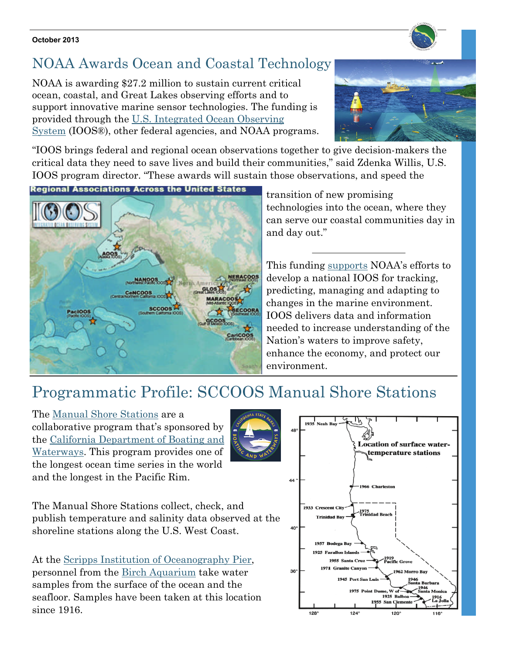#### **October 2013**

### NOAA Awards Ocean and Coastal Technology

NOAA is awarding \$27.2 million to sustain current critical ocean, coastal, and Great Lakes observing efforts and to support innovative marine sensor technologies. The funding is provided through the [U.S. Integrated Ocean Observing](http://www.ioos.noaa.gov/)  [System](http://www.ioos.noaa.gov/) (IOOS®), other federal agencies, and NOAA programs.



"IOOS brings federal and regional ocean observations together to give decision-makers the critical data they need to save lives and build their communities," said Zdenka Willis, U.S. IOOS program director. "These awards will sustain those observations, and speed the



transition of new promising technologies into the ocean, where they can serve our coastal communities day in and day out."

This funding [supports](http://www.noaanews.noaa.gov/stories2013/20130930_ioosgrant.html) NOAA's efforts to develop a national IOOS for tracking, predicting, managing and adapting to changes in the marine environment. IOOS delivers data and information needed to increase understanding of the Nation's waters to improve safety, enhance the economy, and protect our environment.

## Programmatic Profile: SCCOOS Manual Shore Stations

The [Manual Shore Stations](http://sccoos.org/data/manualshorestations/) are a collaborative program that's sponsored by the [California Department of Boating and](http://www.dbw.ca.gov/)  [Waterways](http://www.dbw.ca.gov/). This program provides one of the longest ocean time series in the world and the longest in the Pacific Rim.

The Manual Shore Stations collect, check, and publish temperature and salinity data observed at the shoreline stations along the U.S. West Coast.

At the [Scripps Institution of Oceanography Pier](http://sccoos.org/data/manualshorestations/index.php?study=SIO+Pier+Shore+Station), personnel from the [Birch Aquarium](http://aquarium.ucsd.edu/) take water samples from the surface of the ocean and the seafloor. Samples have been taken at this location since 1916.